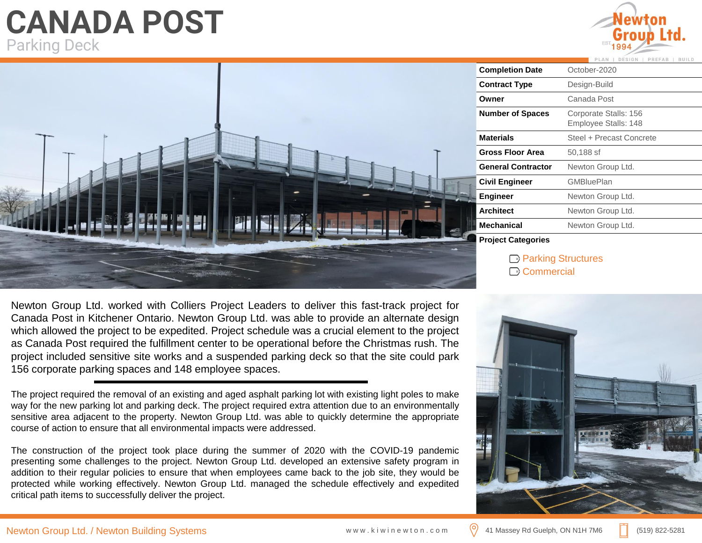## **CANADA POST**  Parking Deck





Newton Group Ltd. worked with Colliers Project Leaders to deliver this fast-track project for Canada Post in Kitchener Ontario. Newton Group Ltd. was able to provide an alternate design which allowed the project to be expedited. Project schedule was a crucial element to the project as Canada Post required the fulfillment center to be operational before the Christmas rush. The project included sensitive site works and a suspended parking deck so that the site could park 156 corporate parking spaces and 148 employee spaces.

The project required the removal of an existing and aged asphalt parking lot with existing light poles to make way for the new parking lot and parking deck. The project required extra attention due to an environmentally sensitive area adjacent to the property. Newton Group Ltd. was able to quickly determine the appropriate course of action to ensure that all environmental impacts were addressed.

The construction of the project took place during the summer of 2020 with the COVID-19 pandemic presenting some challenges to the project. Newton Group Ltd. developed an extensive safety program in addition to their regular policies to ensure that when employees came back to the job site, they would be protected while working effectively. Newton Group Ltd. managed the schedule effectively and expedited critical path items to successfully deliver the project.

| <b>Completion Date</b>    | October-2020                                  |
|---------------------------|-----------------------------------------------|
| <b>Contract Type</b>      | Design-Build                                  |
| Owner                     | Canada Post                                   |
| <b>Number of Spaces</b>   | Corporate Stalls: 156<br>Employee Stalls: 148 |
| <b>Materials</b>          | Steel + Precast Concrete                      |
| <b>Gross Floor Area</b>   | 50,188 sf                                     |
| <b>General Contractor</b> | Newton Group Ltd.                             |
| <b>Civil Engineer</b>     | <b>GMBluePlan</b>                             |
| <b>Engineer</b>           | Newton Group Ltd.                             |
| <b>Architect</b>          | Newton Group Ltd.                             |
| Mechanical                | Newton Group Ltd.                             |

**Project Categories**

**Parking Structures** Commercial